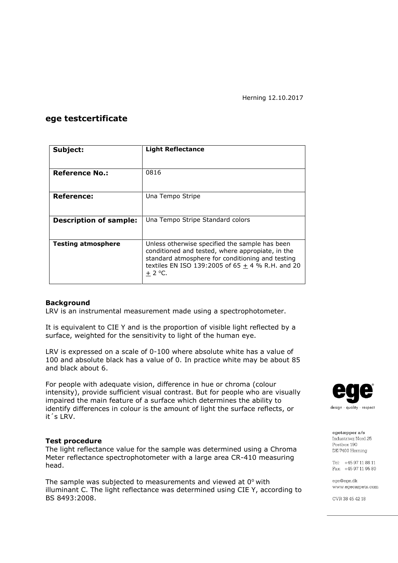## **ege testcertificate**

| Subject:                      | <b>Light Reflectance</b>                                                                                                                                                                                                   |  |  |
|-------------------------------|----------------------------------------------------------------------------------------------------------------------------------------------------------------------------------------------------------------------------|--|--|
|                               |                                                                                                                                                                                                                            |  |  |
| <b>Reference No.:</b>         | 0816                                                                                                                                                                                                                       |  |  |
|                               |                                                                                                                                                                                                                            |  |  |
| Reference:                    | Una Tempo Stripe                                                                                                                                                                                                           |  |  |
|                               |                                                                                                                                                                                                                            |  |  |
| <b>Description of sample:</b> | Una Tempo Stripe Standard colors                                                                                                                                                                                           |  |  |
|                               |                                                                                                                                                                                                                            |  |  |
| <b>Testing atmosphere</b>     | Unless otherwise specified the sample has been<br>conditioned and tested, where appropiate, in the<br>standard atmosphere for conditioning and testing<br>textiles EN ISO 139:2005 of 65 $\pm$ 4 % R.H. and 20<br>$+2$ °C. |  |  |

#### **Background**

LRV is an instrumental measurement made using a spectrophotometer.

It is equivalent to CIE Y and is the proportion of visible light reflected by a surface, weighted for the sensitivity to light of the human eye.

LRV is expressed on a scale of 0-100 where absolute white has a value of 100 and absolute black has a value of 0. In practice white may be about 85 and black about 6.

For people with adequate vision, difference in hue or chroma (colour intensity), provide sufficient visual contrast. But for people who are visually impaired the main feature of a surface which determines the ability to identify differences in colour is the amount of light the surface reflects, or it´s LRV.

#### **Test procedure**

The light reflectance value for the sample was determined using a Chroma Meter reflectance spectrophotometer with a large area CR-410 measuring head.

The sample was subjected to measurements and viewed at  $0^{\circ}$  with illuminant C. The light reflectance was determined using CIE Y, according to BS 8493:2008.



egetæpper a/s Industrivei Nord 25 Postbox 190 DK-7400 Herning

Tel: +45 97 11 88 11 Fax: +45 97 11 95 80

ege@ege.dk www.egecarpets.com

CVR 38 45 42 18